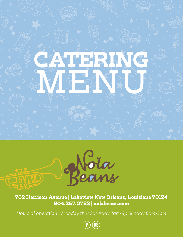



762 Harrison Avenue | Lakeview New Orleans, Louisiana 70124 504.267.0783 | nolabeans.com

*Hours of operation | Monday thru Saturday 7am-8p Sunday 8am-5pm*

 $\Xi$